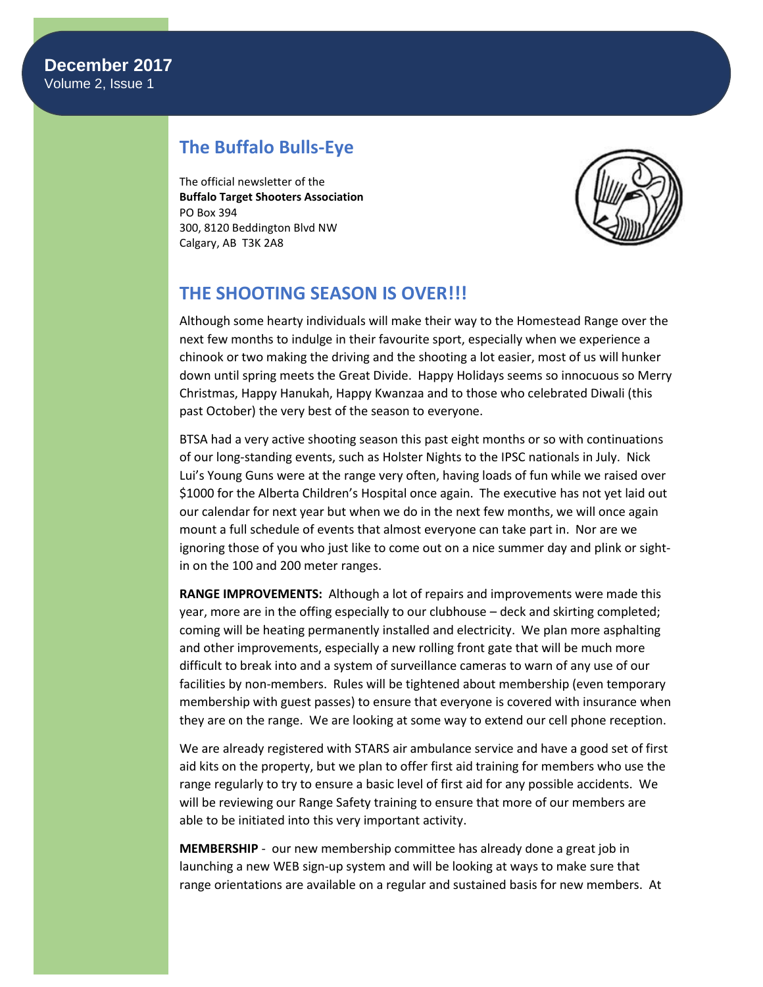# **The Buffalo Bulls-Eye**

The official newsletter of the **Buffalo Target Shooters Association** PO Box 394 300, 8120 Beddington Blvd NW Calgary, AB T3K 2A8



# **THE SHOOTING SEASON IS OVER!!!**

Although some hearty individuals will make their way to the Homestead Range over the next few months to indulge in their favourite sport, especially when we experience a chinook or two making the driving and the shooting a lot easier, most of us will hunker down until spring meets the Great Divide. Happy Holidays seems so innocuous so Merry Christmas, Happy Hanukah, Happy Kwanzaa and to those who celebrated Diwali (this past October) the very best of the season to everyone.

BTSA had a very active shooting season this past eight months or so with continuations of our long-standing events, such as Holster Nights to the IPSC nationals in July. Nick Lui's Young Guns were at the range very often, having loads of fun while we raised over \$1000 for the Alberta Children's Hospital once again. The executive has not yet laid out our calendar for next year but when we do in the next few months, we will once again mount a full schedule of events that almost everyone can take part in. Nor are we ignoring those of you who just like to come out on a nice summer day and plink or sightin on the 100 and 200 meter ranges.

**RANGE IMPROVEMENTS:** Although a lot of repairs and improvements were made this year, more are in the offing especially to our clubhouse – deck and skirting completed; coming will be heating permanently installed and electricity. We plan more asphalting and other improvements, especially a new rolling front gate that will be much more difficult to break into and a system of surveillance cameras to warn of any use of our facilities by non-members. Rules will be tightened about membership (even temporary membership with guest passes) to ensure that everyone is covered with insurance when they are on the range. We are looking at some way to extend our cell phone reception.

We are already registered with STARS air ambulance service and have a good set of first aid kits on the property, but we plan to offer first aid training for members who use the range regularly to try to ensure a basic level of first aid for any possible accidents. We will be reviewing our Range Safety training to ensure that more of our members are able to be initiated into this very important activity.

**MEMBERSHIP** - our new membership committee has already done a great job in launching a new WEB sign-up system and will be looking at ways to make sure that range orientations are available on a regular and sustained basis for new members. At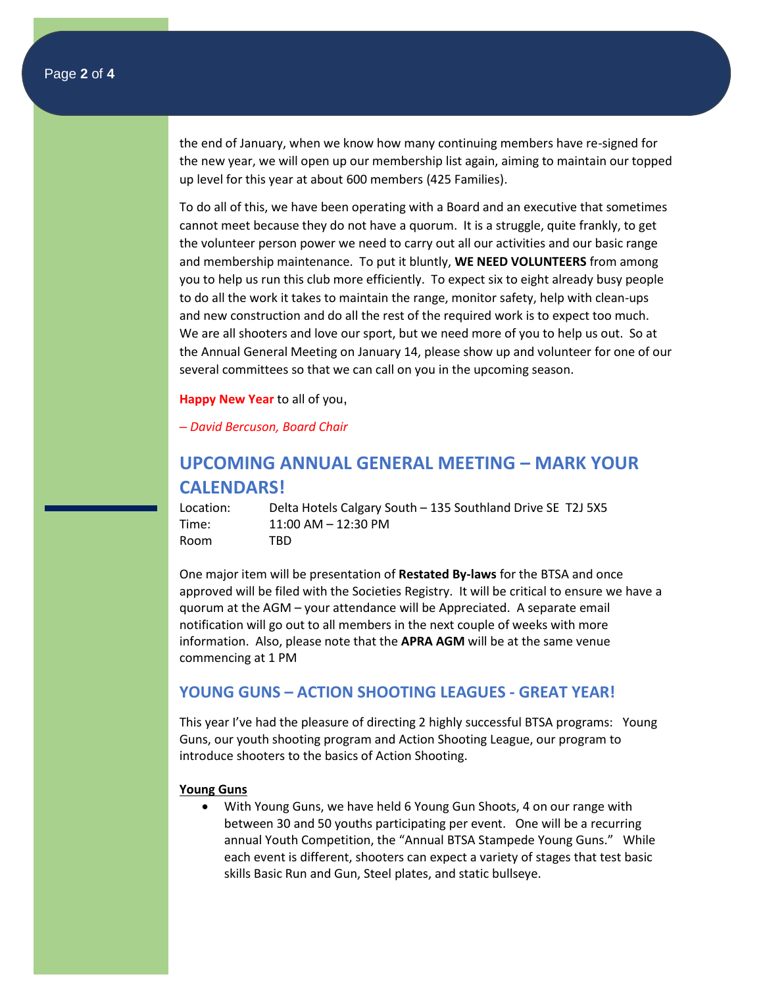the end of January, when we know how many continuing members have re-signed for the new year, we will open up our membership list again, aiming to maintain our topped up level for this year at about 600 members (425 Families).

To do all of this, we have been operating with a Board and an executive that sometimes cannot meet because they do not have a quorum. It is a struggle, quite frankly, to get the volunteer person power we need to carry out all our activities and our basic range and membership maintenance. To put it bluntly, **WE NEED VOLUNTEERS** from among you to help us run this club more efficiently. To expect six to eight already busy people to do all the work it takes to maintain the range, monitor safety, help with clean-ups and new construction and do all the rest of the required work is to expect too much. We are all shooters and love our sport, but we need more of you to help us out. So at the Annual General Meeting on January 14, please show up and volunteer for one of our several committees so that we can call on you in the upcoming season.

**Happy New Year** to all of you,

*– David Bercuson, Board Chair*

# **UPCOMING ANNUAL GENERAL MEETING – MARK YOUR CALENDARS!**

Location: Delta Hotels Calgary South – 135 Southland Drive SE T2J 5X5 Time: 11:00 AM – 12:30 PM Room TBD

One major item will be presentation of **Restated By-laws** for the BTSA and once approved will be filed with the Societies Registry. It will be critical to ensure we have a quorum at the AGM – your attendance will be Appreciated. A separate email notification will go out to all members in the next couple of weeks with more information. Also, please note that the **APRA AGM** will be at the same venue commencing at 1 PM

### **YOUNG GUNS – ACTION SHOOTING LEAGUES - GREAT YEAR!**

This year I've had the pleasure of directing 2 highly successful BTSA programs: Young Guns, our youth shooting program and Action Shooting League, our program to introduce shooters to the basics of Action Shooting.

#### **Young Guns**

• With Young Guns, we have held 6 Young Gun Shoots, 4 on our range with between 30 and 50 youths participating per event. One will be a recurring annual Youth Competition, the "Annual BTSA Stampede Young Guns." While each event is different, shooters can expect a variety of stages that test basic skills Basic Run and Gun, Steel plates, and static bullseye.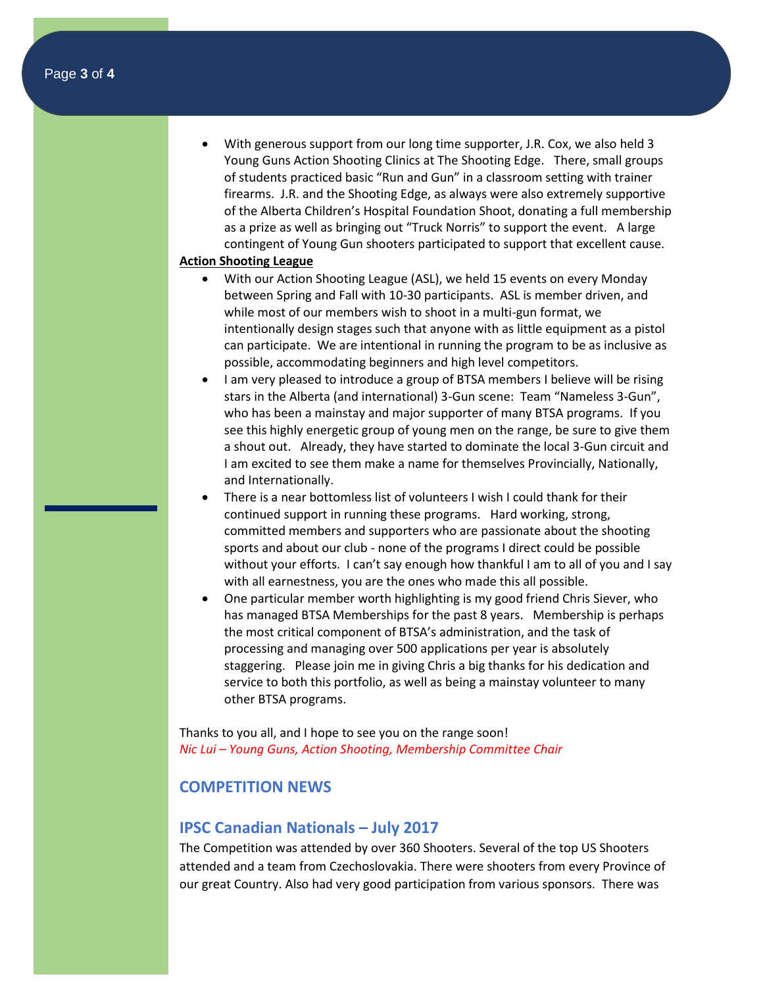• With generous support from our long time supporter, J.R. Cox, we also held 3 Young Guns Action Shooting Clinics at The Shooting Edge. There, small groups of students practiced basic "Run and Gun" in a classroom setting with trainer firearms. J.R. and the Shooting Edge, as always were also extremely supportive of the Alberta Children's Hospital Foundation Shoot, donating a full membership as a prize as well as bringing out "Truck Norris" to support the event. A large contingent of Young Gun shooters participated to support that excellent cause.

#### **Action Shooting League**

- With our Action Shooting League (ASL), we held 15 events on every Monday between Spring and Fall with 10-30 participants. ASL is member driven, and while most of our members wish to shoot in a multi-gun format, we intentionally design stages such that anyone with as little equipment as a pistol can participate. We are intentional in running the program to be as inclusive as possible, accommodating beginners and high level competitors.
- I am very pleased to introduce a group of BTSA members I believe will be rising stars in the Alberta (and international) 3-Gun scene: Team "Nameless 3-Gun", who has been a mainstay and major supporter of many BTSA programs. If you see this highly energetic group of young men on the range, be sure to give them a shout out. Already, they have started to dominate the local 3-Gun circuit and I am excited to see them make a name for themselves Provincially, Nationally, and Internationally.
- There is a near bottomless list of volunteers I wish I could thank for their continued support in running these programs. Hard working, strong, committed members and supporters who are passionate about the shooting sports and about our club - none of the programs I direct could be possible without your efforts. I can't say enough how thankful I am to all of you and I say with all earnestness, you are the ones who made this all possible.
- One particular member worth highlighting is my good friend Chris Siever, who has managed BTSA Memberships for the past 8 years. Membership is perhaps the most critical component of BTSA's administration, and the task of processing and managing over 500 applications per year is absolutely staggering. Please join me in giving Chris a big thanks for his dedication and service to both this portfolio, as well as being a mainstay volunteer to many other BTSA programs.

Thanks to you all, and I hope to see you on the range soon! *Nic Lui – Young Guns, Action Shooting, Membership Committee Chair*

### **COMPETITION NEWS**

#### **IPSC Canadian Nationals – July 2017**

The Competition was attended by over 360 Shooters. Several of the top US Shooters attended and a team from Czechoslovakia. There were shooters from every Province of our great Country. Also had very good participation from various sponsors. There was